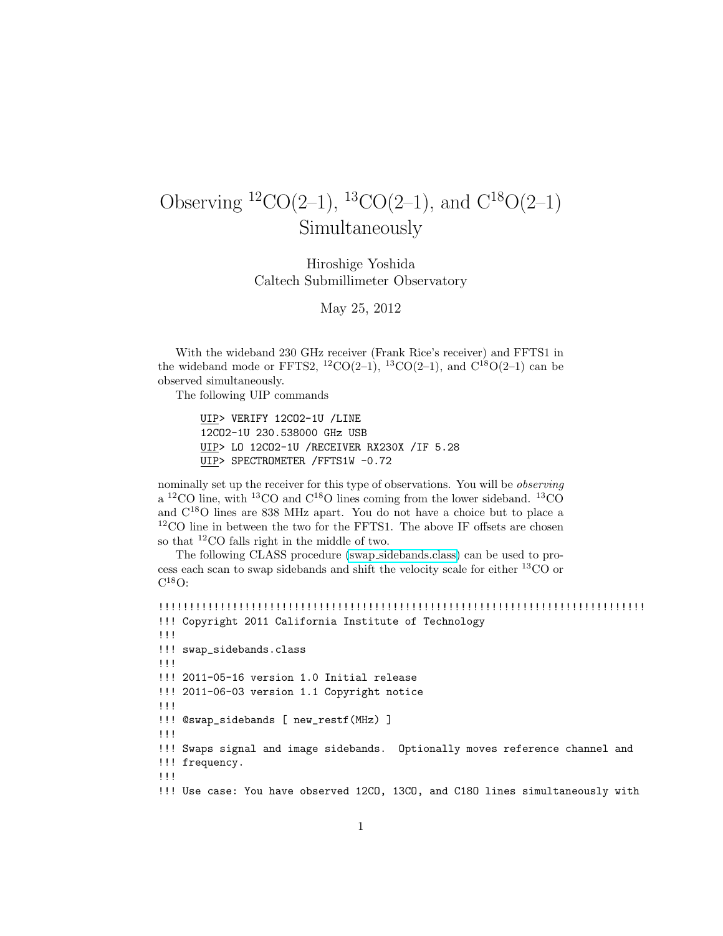## Observing  ${}^{12}CO(2-1)$ ,  ${}^{13}CO(2-1)$ , and  $C^{18}O(2-1)$ Simultaneously

Hiroshige Yoshida Caltech Submillimeter Observatory

May 25, 2012

With the wideband 230 GHz receiver (Frank Rice's receiver) and FFTS1 in the wideband mode or FFTS2, <sup>12</sup>CO(2–1), <sup>13</sup>CO(2–1), and C<sup>18</sup>O(2–1) can be observed simultaneously.

The following UIP commands

UIP> VERIFY 12CO2-1U /LINE 12CO2-1U 230.538000 GHz USB UIP> LO 12CO2-1U /RECEIVER RX230X /IF 5.28 UIP> SPECTROMETER /FFTS1W -0.72

nominally set up the receiver for this type of observations. You will be observing  $a^{12}$ CO line, with <sup>13</sup>CO and C<sup>18</sup>O lines coming from the lower sideband. <sup>13</sup>CO and C<sup>18</sup>O lines are 838 MHz apart. You do not have a choice but to place a  $^{12} \rm CO$  line in between the two for the FFTS1. The above IF offsets are chosen so that <sup>12</sup>CO falls right in the middle of two.

The following CLASS procedure (swap [sidebands.class\)](file:swap_sidebands.class) can be used to process each scan to swap sidebands and shift the velocity scale for either  ${}^{13}CO$  or  $C^{18}O:$ 

```
!!!!!!!!!!!!!!!!!!!!!!!!!!!!!!!!!!!!!!!!!!!!!!!!!!!!!!!!!!!!!!!!!!!!!!!!!!!!!!!
!!! Copyright 2011 California Institute of Technology
!!!
!!! swap_sidebands.class
!!!
!!! 2011-05-16 version 1.0 Initial release
!!! 2011-06-03 version 1.1 Copyright notice
!!!
!!! @swap_sidebands [ new_restf(MHz) ]
!!!
!!! Swaps signal and image sidebands. Optionally moves reference channel and
!!! frequency.
!!!
!!! Use case: You have observed 12CO, 13CO, and C18O lines simultaneously with
```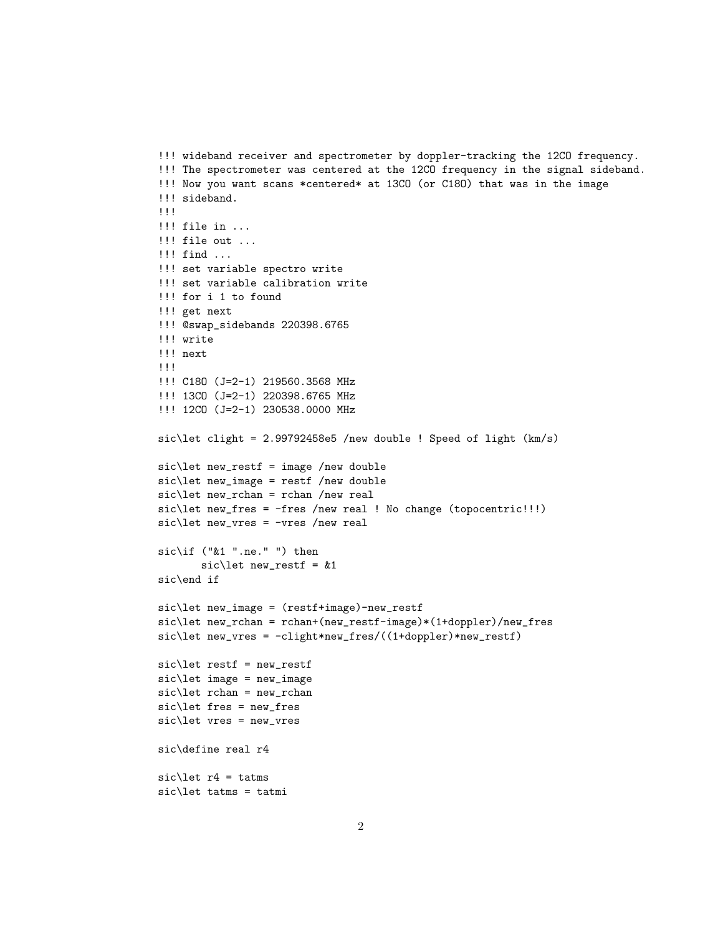```
!!! wideband receiver and spectrometer by doppler-tracking the 12CO frequency.
!!! The spectrometer was centered at the 12CO frequency in the signal sideband.
!!! Now you want scans *centered* at 13CO (or C18O) that was in the image
!!! sideband.
!!!
!!! file in ...
!!! file out ...
!!! find ...
!!! set variable spectro write
!!! set variable calibration write
!!! for i 1 to found
!!! get next
!!! @swap_sidebands 220398.6765
!!! write
!!! next
!!!
!!! C18O (J=2-1) 219560.3568 MHz
!!! 13CO (J=2-1) 220398.6765 MHz
!!! 12CO (J=2-1) 230538.0000 MHz
sic\let clight = 2.99792458e5 /new double ! Speed of light (km/s)sic\let new_restf = image /new double
sic\let new_image = restf /new double
sic\let new_rchan = rchan /new real
sic\let new_fres = -fres /new real ! No change (topocentric!!!)
sic\let new_vres = -vres /new real
sic\if ("&1 ".ne." ") then
       sic\let new_restf = &1
sic\end if
sic\let new_image = (restf+image)-new_restf
sic\let new_rchan = rchan+(new_restf-image)*(1+doppler)/new_fres
sic\let new_vres = -clight*new_fres/((1+doppler)*new_restf)
sic\let restf = new_restf
sic\let image = new_image
sic\let rchan = new_rchan
sic\let fres = new_fres
sic\let vres = new_vres
sic\define real r4
sic\let r4 = \text{tatms}sic\let tatms = tatmi
```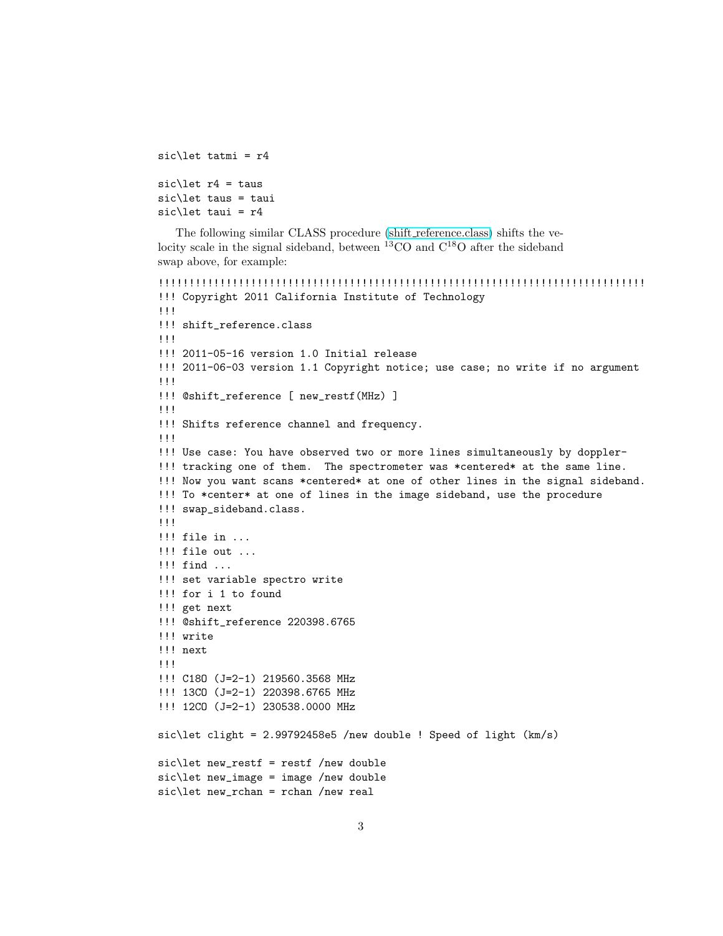```
sic\let tatmi = r4sic\let r4 = taussic\let taus = taui
sic\let taui = r4
```
The following similar CLASS procedure (shift [reference.class\)](file:shift_reference.class) shifts the velocity scale in the signal sideband, between  ${}^{13}$ CO and  $C^{18}$ O after the sideband swap above, for example:

```
!!!!!!!!!!!!!!!!!!!!!!!!!!!!!!!!!!!!!!!!!!!!!!!!!!!!!!!!!!!!!!!!!!!!!!!!!!!!!!!
!!! Copyright 2011 California Institute of Technology
!!!
!!! shift_reference.class
!!!
!!! 2011-05-16 version 1.0 Initial release
!!! 2011-06-03 version 1.1 Copyright notice; use case; no write if no argument
!!!
!!! @shift_reference [ new_restf(MHz) ]
!!!
!!! Shifts reference channel and frequency.
!!!
!!! Use case: You have observed two or more lines simultaneously by doppler-
!!! tracking one of them. The spectrometer was *centered* at the same line.
!!! Now you want scans *centered* at one of other lines in the signal sideband.
!!! To *center* at one of lines in the image sideband, use the procedure
!!! swap_sideband.class.
!!!
!!! file in ...
!!! file out ...
!!! find ...
!!! set variable spectro write
!!! for i 1 to found
!!! get next
!!! @shift_reference 220398.6765
!!! write
!!! next
!!!
!!! C18O (J=2-1) 219560.3568 MHz
!!! 13CO (J=2-1) 220398.6765 MHz
!!! 12CO (J=2-1) 230538.0000 MHz
sic\let clight = 2.99792458e5 /new double ! Speed of light (km/s)
sic\let new_restf = restf /new double
sic\let new_image = image /new double
sic\let new_rchan = rchan /new real
```